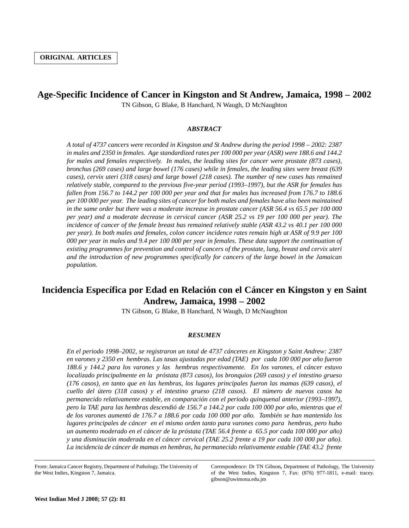## **Age-Specific Incidence of Cancer in Kingston and St Andrew, Jamaica, 1998 – 2002**

TN Gibson, G Blake, B Hanchard, N Waugh, D McNaughton

## *ABSTRACT*

*A total of 4737 cancers were recorded in Kingston and St Andrew during the period 1998 – 2002: 2387 in males and 2350 in females. Age standardized rates per 100 000 per year (ASR) were 188.6 and 144.2 for males and females respectively. In males, the leading sites for cancer were prostate (873 cases), bronchus (269 cases) and large bowel (176 cases) while in females, the leading sites were breast (639 cases), cervix uteri (318 cases) and large bowel (218 cases). The number of new cases has remained relatively stable, compared to the previous five-year period (1993–1997), but the ASR for females has fallen from 156.7 to 144.2 per 100 000 per year and that for males has increased from 176.7 to 188.6 per 100 000 per year. The leading sites of cancer for both males and females have also been maintained in the same order but there was a moderate increase in prostate cancer (ASR 56.4 vs 65.5 per 100 000 per year) and a moderate decrease in cervical cancer (ASR 25.2 vs 19 per 100 000 per year). The incidence of cancer of the female breast has remained relatively stable (ASR 43.2 vs 40.1 per 100 000 per year). In both males and females, colon cancer incidence rates remain high at ASR of 9.9 per 100 000 per year in males and 9.4 per 100 000 per year in females. These data support the continuation of existing programmes for prevention and control of cancers of the prostate, lung, breast and cervix uteri and the introduction of new programmes specifically for cancers of the large bowel in the Jamaican population.* 

## **Incidencia Específica por Edad en Relación con el Cáncer en Kingston y en Saint Andrew, Jamaica, 1998 – 2002**

TN Gibson, G Blake, B Hanchard, N Waugh, D McNaughton

## *RESUMEN*

*En el periodo 1998–2002, se registraron un total de 4737 cánceres en Kingston y Saint Andrew: 2387 en varones y 2350 en hembras. Las tasas ajustadas por edad (TAE) por cada 100 000 por año fueron 188.6 y 144.2 para los varones y las hembras respectivamente. En los varones, el cáncer estuvo localizado principalmente en la próstata (873 casos), los bronquios (269 casos) y el intestino grueso (176 casos), en tanto que en las hembras, los lugares principales fueron las mamas (639 casos), el cuello del útero (318 casos) y el intestino grueso (218 casos). El número de nuevos casos ha permanecido relativamente estable, en comparación con el periodo quinquenal anterior (1993–1997), pero la TAE para las hembras descendió de 156.7 a 144.2 por cada 100 000 por año, mientras que el de los varones aumentó de 176.7 a 188.6 por cada 100 000 por año. También se han mantenido los lugares principales de cáncer en el mismo orden tanto para varones como para hembras, pero hubo un aumento moderado en el cáncer de la próstata (TAE 56.4 frente a 65.5 por cada 100 000 por año) y una disminución moderada en el cáncer cervical (TAE 25.2 frente a 19 por cada 100 000 por año). La incidencia de cáncer de mamas en hembras, ha permanecido relativamente estable (TAE 43.2 frente*

Correspondence: Dr TN Gibson**,** Department of Pathology, The University of the West Indies, Kingston 7, Fax: (876) 977-1811, e-mail: tracey. gibson@uwimona.edu.jm

From: Jamaica Cancer Registry, Department of Pathology, The University of the West Indies, Kingston 7, Jamaica.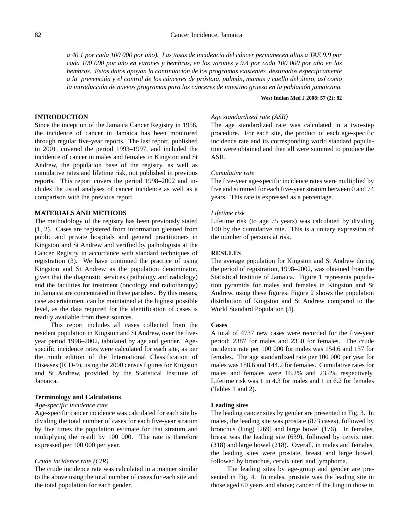## 82 Cancer Incidence, Jamaica

*a 40.1 por cada 100 000 por año). Las tasas de incidencia del cáncer permanecen altas a TAE 9.9 por cada 100 000 por año en varones y hembras, en los varones y 9.4 por cada 100 000 por año en las hembras. Estos datos apoyan la continuación de los programas existentes destinados específicamente a la prevención y el control de los cánceres de próstata, pulmón, mamas y cuello del útero, así como la introducción de nuevos programas para los cánceres de intestino grueso en la población jamaicana.* 

## **INTRODUCTION**

Since the inception of the Jamaica Cancer Registry in 1958, the incidence of cancer in Jamaica has been monitored through regular five-year reports. The last report, published in 2001, covered the period 1993–1997, and included the incidence of cancer in males and females in Kingston and St Andrew, the population base of the registry, as well as cumulative rates and lifetime risk, not published in previous reports. This report covers the period 1998–2002 and includes the usual analyses of cancer incidence as well as a comparison with the previous report.

## **MATERIALS AND METHODS**

The methodology of the registry has been previously stated (1, 2). Cases are registered from information gleaned from public and private hospitals and general practitioners in Kingston and St Andrew and verified by pathologists at the Cancer Registry in accordance with standard techniques of registration (3). We have continued the practice of using Kingston and St Andrew as the population denominator, given that the diagnostic services (pathology and radiology) and the facilities for treatment (oncology and radiotherapy) in Jamaica are concentrated in these parishes. By this means, case ascertainment can be maintained at the highest possible level, as the data required for the identification of cases is readily available from these sources.

This report includes all cases collected from the resident population in Kingston and St Andrew, over the fiveyear period 1998–2002, tabulated by age and gender. Agespecific incidence rates were calculated for each site, as per the ninth edition of the International Classification of Diseases (ICD-9), using the 2000 census figures for Kingston and St Andrew, provided by the Statistical Institute of Jamaica.

#### **Terminology and Calculations**

#### *Age-specific incidence rate*

Age-specific cancer incidence was calculated for each site by dividing the total number of cases for each five-year stratum by five times the population estimate for that stratum and multiplying the result by 100 000. The rate is therefore expressed per 100 000 per year.

## *Crude incidence rate (CIR)*

The crude incidence rate was calculated in a manner similar to the above using the total number of cases for each site and the total population for each gender.

# **West Indian Med J 2008; 57 (2): 82**

## *Age standardized rate (ASR)*

The age standardized rate was calculated in a two-step procedure. For each site, the product of each age-specific incidence rate and its corresponding world standard population were obtained and then all were summed to produce the ASR.

#### *Cumulative rate*

The five-year age-specific incidence rates were multiplied by five and summed for each five-year stratum between 0 and 74 years. This rate is expressed as a percentage.

#### *Lifetime risk*

Lifetime risk (to age 75 years) was calculated by dividing 100 by the cumulative rate. This is a unitary expression of the number of persons at risk.

### **RESULTS**

The average population for Kingston and St Andrew during the period of registration, 1998–2002, was obtained from the Statistical Institute of Jamaica. Figure 1 represents population pyramids for males and females in Kingston and St Andrew, using these figures. Figure 2 shows the population distribution of Kingston and St Andrew compared to the World Standard Population (4).

## **Cases**

A total of 4737 new cases were recorded for the five-year period: 2387 for males and 2350 for females. The crude incidence rate per 100 000 for males was 154.6 and 137 for females. The age standardized rate per 100 000 per year for males was 188.6 and 144.2 for females. Cumulative rates for males and females were 16.2% and 23.4% respectively. Lifetime risk was 1 in 4.3 for males and 1 in 6.2 for females (Tables 1 and 2).

#### **Leading sites**

The leading cancer sites by gender are presented in Fig. 3. In males, the leading site was prostate (873 cases), followed by bronchus (lung) [269] and large bowel (176). In females, breast was the leading site (639), followed by cervix uteri (318) and large bowel (218). Overall, in males and females, the leading sites were prostate, breast and large bowel, followed by bronchus, cervix uteri and lymphoma.

The leading sites by age-group and gender are presented in Fig. 4. In males, prostate was the leading site in those aged 60 years and above; cancer of the lung in those in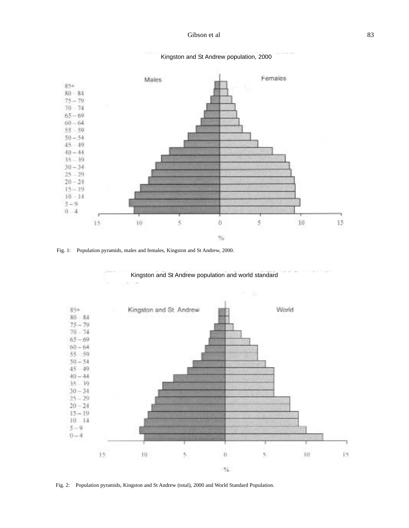

Kingston and St Andrew population, 2000

Fig. 1: Population pyramids, males and females, Kingston and St Andrew, 2000.



Fig. 2: Population pyramids, Kingston and St Andrew (total), 2000 and World Standard Population.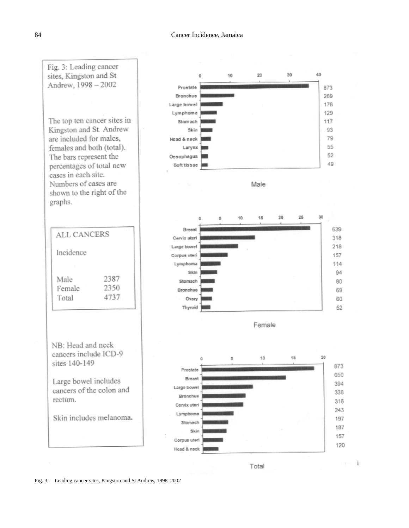

Fig. 3: Leading cancer sites, Kingston and St Andrew, 1998–2002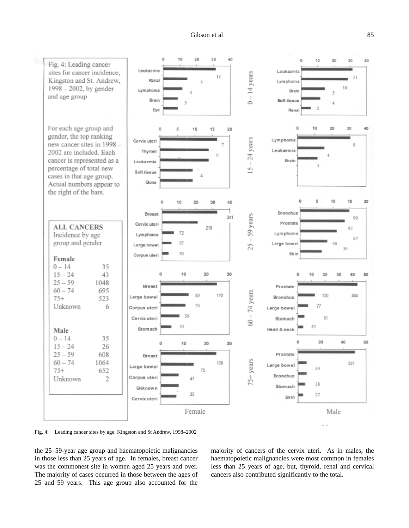## Gibson et al



Fig. 4: Leading cancer sites by age, Kingston and St Andrew, 1998–2002

the 25–59-year age group and haematopoietic malignancies in those less than 25 years of age. In females, breast cancer was the commonest site in women aged 25 years and over. The majority of cases occurred in those between the ages of 25 and 59 years. This age group also accounted for the majority of cancers of the cervix uteri. As in males, the haematopoietic malignancies were most common in females less than 25 years of age, but, thyroid, renal and cervical cancers also contributed significantly to the total.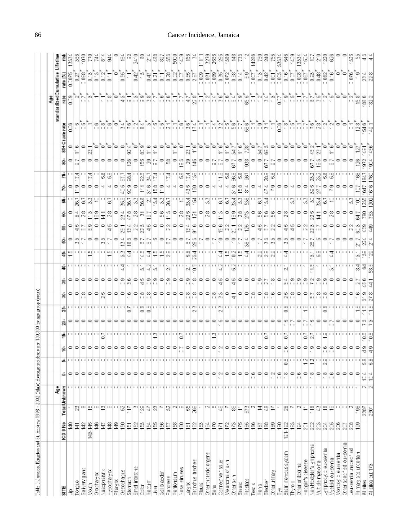| Table 1: Janaica, Kingaton and 54, Andrew 1998 - 2002 (Mala) Arecage incident |                               |                                                                                                                              |              |                                                                                                                            |    |    |                        | 计分布 |                                                                                                       |     |                                                                           |                                                                  |                       |                                        |                                           |                                     |                                              |     |                                      |       |   |            |           |   |
|-------------------------------------------------------------------------------|-------------------------------|------------------------------------------------------------------------------------------------------------------------------|--------------|----------------------------------------------------------------------------------------------------------------------------|----|----|------------------------|-----|-------------------------------------------------------------------------------------------------------|-----|---------------------------------------------------------------------------|------------------------------------------------------------------|-----------------------|----------------------------------------|-------------------------------------------|-------------------------------------|----------------------------------------------|-----|--------------------------------------|-------|---|------------|-----------|---|
|                                                                               |                               |                                                                                                                              |              |                                                                                                                            |    |    |                        |     |                                                                                                       |     |                                                                           |                                                                  |                       |                                        |                                           |                                     |                                              |     |                                      |       |   |            |           |   |
|                                                                               |                               |                                                                                                                              | 흏            |                                                                                                                            |    |    |                        |     |                                                                                                       |     |                                                                           |                                                                  |                       |                                        |                                           |                                     |                                              |     |                                      |       |   | andardized | umulative | 틑 |
| <b>SILE</b>                                                                   | ICD 9 No                      |                                                                                                                              | TetalUnknown | ó                                                                                                                          | ŵ. |    |                        |     |                                                                                                       |     | 유                                                                         |                                                                  |                       |                                        |                                           |                                     |                                              |     |                                      |       | 흉 |            |           |   |
| Tongue<br>۹                                                                   | 윤<br>$\frac{1}{2}$            |                                                                                                                              |              | ۰                                                                                                                          |    |    |                        |     | 0    0    0    0    0    0    0    0    0    0    0    0    0    0    0    0    0    0    0    0    0 |     | 11111111                                                                  |                                                                  |                       |                                        | $0 \vee 0 \vee 0 \wedge 0 \wedge 0$       |                                     | [약화약약약각각약왕암약자왕왕활각각약왕윤약약각각각왕왕강약각공왕약약약약약양양약약약법 |     | OM 0 0 0 0 0 0 0                     | 10100 |   |            |           |   |
| preditiones                                                                   |                               |                                                                                                                              |              |                                                                                                                            |    |    |                        |     |                                                                                                       |     |                                                                           |                                                                  |                       |                                        |                                           |                                     |                                              |     |                                      |       |   |            |           |   |
| VoJ?                                                                          | 요 또<br>슢                      |                                                                                                                              |              |                                                                                                                            |    |    |                        |     |                                                                                                       |     |                                                                           |                                                                  |                       |                                        |                                           |                                     |                                              |     |                                      |       |   |            |           |   |
| wkstoop                                                                       | 읖                             |                                                                                                                              |              |                                                                                                                            |    |    |                        |     |                                                                                                       |     |                                                                           |                                                                  |                       |                                        |                                           |                                     |                                              |     |                                      |       |   |            |           |   |
| kasepherax                                                                    |                               |                                                                                                                              |              |                                                                                                                            |    |    |                        |     |                                                                                                       |     |                                                                           |                                                                  |                       | $\circ$ $\circ$ $\circ$ $\sim$         |                                           |                                     |                                              |     |                                      |       |   |            |           |   |
| −yeoetaływ                                                                    |                               |                                                                                                                              |              |                                                                                                                            |    |    |                        |     |                                                                                                       |     |                                                                           |                                                                  |                       |                                        |                                           |                                     |                                              |     |                                      |       |   |            |           |   |
| akak.                                                                         |                               |                                                                                                                              |              |                                                                                                                            |    |    |                        |     |                                                                                                       |     |                                                                           |                                                                  |                       |                                        |                                           |                                     |                                              |     |                                      |       |   |            |           |   |
| Oesoehagus                                                                    |                               |                                                                                                                              |              |                                                                                                                            |    |    |                        |     |                                                                                                       |     |                                                                           |                                                                  |                       |                                        |                                           |                                     |                                              |     |                                      |       |   |            |           |   |
| Etomach                                                                       |                               |                                                                                                                              |              |                                                                                                                            |    |    |                        |     |                                                                                                       |     |                                                                           |                                                                  |                       |                                        |                                           | စ္စိုးပမီး ျပပ္ပြဲမွာ               |                                              |     |                                      |       |   |            |           |   |
| Emel intestire                                                                |                               |                                                                                                                              |              |                                                                                                                            |    |    |                        |     |                                                                                                       |     |                                                                           |                                                                  |                       |                                        |                                           |                                     |                                              |     |                                      |       |   |            |           |   |
| 쳶                                                                             |                               |                                                                                                                              |              |                                                                                                                            |    |    |                        |     |                                                                                                       |     |                                                                           |                                                                  |                       |                                        |                                           |                                     |                                              |     |                                      |       |   |            |           |   |
| 16001                                                                         |                               |                                                                                                                              |              |                                                                                                                            |    |    |                        |     |                                                                                                       |     |                                                                           |                                                                  |                       |                                        |                                           |                                     |                                              |     |                                      |       |   |            |           |   |
| 中                                                                             |                               |                                                                                                                              |              |                                                                                                                            |    |    |                        |     |                                                                                                       |     |                                                                           |                                                                  |                       |                                        |                                           |                                     |                                              |     |                                      |       |   |            | 0000      |   |
| Get bacder                                                                    |                               |                                                                                                                              |              |                                                                                                                            |    |    |                        |     |                                                                                                       |     |                                                                           |                                                                  |                       |                                        |                                           |                                     |                                              |     |                                      |       |   |            |           |   |
| sse.t.e.c                                                                     |                               |                                                                                                                              |              |                                                                                                                            |    |    |                        |     |                                                                                                       |     |                                                                           |                                                                  | TO 1                  |                                        |                                           |                                     |                                              |     |                                      |       |   |            |           |   |
| Pertoner                                                                      |                               |                                                                                                                              |              |                                                                                                                            |    |    |                        |     |                                                                                                       |     |                                                                           |                                                                  |                       |                                        |                                           |                                     |                                              |     |                                      |       |   |            |           |   |
| Yose sintees                                                                  |                               |                                                                                                                              |              |                                                                                                                            |    |    |                        |     |                                                                                                       |     |                                                                           |                                                                  |                       |                                        |                                           |                                     |                                              |     |                                      |       |   |            |           |   |
| $-8^{\circ}$ / $\alpha$                                                       |                               |                                                                                                                              |              |                                                                                                                            |    |    |                        |     |                                                                                                       |     |                                                                           |                                                                  | 世界。                   |                                        |                                           | 滔                                   |                                              |     |                                      |       |   |            |           |   |
| Bronchie bechee                                                               |                               |                                                                                                                              |              |                                                                                                                            |    |    |                        |     |                                                                                                       |     |                                                                           |                                                                  |                       |                                        |                                           |                                     |                                              |     |                                      |       |   |            |           |   |
| Flaure<br>T                                                                   |                               |                                                                                                                              |              |                                                                                                                            |    |    |                        |     |                                                                                                       |     |                                                                           |                                                                  |                       |                                        |                                           |                                     |                                              |     |                                      |       |   |            |           |   |
| Cherinaredologens                                                             |                               |                                                                                                                              |              |                                                                                                                            |    |    |                        |     |                                                                                                       |     |                                                                           |                                                                  |                       |                                        |                                           |                                     |                                              |     |                                      |       |   |            |           |   |
| $\frac{3}{2}$ 018                                                             |                               | 아까막이 많은 많은 혼약하기                                                                                                              |              |                                                                                                                            |    |    |                        |     |                                                                                                       |     |                                                                           |                                                                  | 터 에 이 터 이 이 터 에 터 이 터 |                                        |                                           |                                     |                                              |     |                                      |       |   |            |           |   |
| Corneotwer sale                                                               |                               |                                                                                                                              |              | NOOOO                                                                                                                      |    |    |                        |     |                                                                                                       | ↽   |                                                                           |                                                                  |                       | [편의봉학원                                 |                                           |                                     |                                              |     |                                      |       |   |            |           |   |
| Vearche of skin                                                               |                               |                                                                                                                              |              |                                                                                                                            |    |    |                        |     |                                                                                                       |     |                                                                           |                                                                  |                       |                                        |                                           |                                     |                                              | 분위없 |                                      |       |   |            |           |   |
| Other Bk 1                                                                    |                               |                                                                                                                              |              |                                                                                                                            |    |    |                        |     |                                                                                                       |     |                                                                           |                                                                  |                       |                                        |                                           |                                     |                                              |     |                                      |       |   |            |           |   |
| Ereas:                                                                        |                               |                                                                                                                              |              |                                                                                                                            |    |    |                        |     |                                                                                                       |     |                                                                           |                                                                  |                       |                                        |                                           |                                     |                                              |     |                                      |       |   |            |           |   |
| $= r \leq 1$                                                                  |                               |                                                                                                                              |              |                                                                                                                            |    |    |                        |     |                                                                                                       |     |                                                                           |                                                                  |                       |                                        |                                           |                                     |                                              |     |                                      |       |   |            |           |   |
| Tes: 3                                                                        |                               |                                                                                                                              |              | $1 - 1$                                                                                                                    |    |    |                        |     |                                                                                                       |     |                                                                           |                                                                  |                       |                                        |                                           |                                     |                                              |     |                                      |       |   |            |           | 웦 |
| Ξeη                                                                           |                               |                                                                                                                              |              | $\circ \circ \circ$                                                                                                        |    |    |                        |     |                                                                                                       |     |                                                                           |                                                                  |                       |                                        |                                           |                                     |                                              |     |                                      |       |   |            |           |   |
| Filedoer                                                                      |                               |                                                                                                                              |              |                                                                                                                            |    |    |                        |     |                                                                                                       |     |                                                                           |                                                                  |                       |                                        |                                           |                                     |                                              |     |                                      |       |   |            |           |   |
| Cherufray                                                                     |                               |                                                                                                                              |              |                                                                                                                            |    |    |                        |     |                                                                                                       |     |                                                                           |                                                                  |                       |                                        |                                           |                                     |                                              |     |                                      |       |   |            |           |   |
|                                                                               |                               |                                                                                                                              |              |                                                                                                                            |    |    |                        |     |                                                                                                       |     |                                                                           |                                                                  |                       |                                        |                                           |                                     |                                              |     |                                      |       |   |            |           |   |
| Eyê<br>Ersin nervetis system                                                  | ម្មមនុស្សស្តុងស្តុងស្តុ<br>ម្ | $\frac{1}{\sqrt{2}}\left\vert \frac{1}{\sqrt{2}}\right\vert \frac{1}{\sqrt{2}}\left\vert \frac{1}{\sqrt{2}}\right\vert ^{2}$ |              | [인민인이임이인이인임이이이이<br>יצורים בחורים בחינו בחורים בחורים בחורים בחורים בחורים בחורים בחורים בחורים בחורים בחורים בחורים בחורים |    |    |                        |     | 이에야이                                                                                                  |     | [보다 3] 1일 3] 보다 3] 보다 보다 3] 4] 보다 나 나 나 먹어 보다 아니다 나 나 나 나 나 나 나 나 있으나 사 나 | 편 먹면 먹 나 나막 지 나니 나 지 때 먹면 먹지 내 먹면 먹이 먹 먹 지 나니 나 아침 먹 나 지 나니 나 나. |                       |                                        | [이야이] [아이들] 이야이] 아이아이 아이아이아이아이아이아 [아뉴어] 아 |                                     |                                              |     | <u> #이완의@활용의의##이덣의왏의의덣#의의의의의정@의#</u> |       |   |            |           |   |
| Tyo:                                                                          |                               |                                                                                                                              |              |                                                                                                                            |    |    |                        |     |                                                                                                       |     |                                                                           |                                                                  |                       |                                        |                                           |                                     |                                              |     |                                      |       |   |            |           |   |
| Other endporting                                                              |                               |                                                                                                                              |              |                                                                                                                            |    |    |                        |     |                                                                                                       |     |                                                                           |                                                                  |                       |                                        |                                           |                                     |                                              |     |                                      |       |   |            |           |   |
| essesic surface-                                                              |                               |                                                                                                                              |              |                                                                                                                            |    |    |                        |     |                                                                                                       |     |                                                                           |                                                                  |                       | 그 집 !!!                                |                                           | $\omega_{\omega}$ $\omega_{\omega}$ |                                              |     |                                      |       |   |            |           |   |
| konHedekin's ympheme                                                          |                               |                                                                                                                              |              |                                                                                                                            |    |    |                        |     |                                                                                                       |     | $\mathbf{u}$ is $\sim$                                                    | V2 52                                                            |                       |                                        |                                           |                                     |                                              |     |                                      | 있 정   |   |            |           |   |
| Vutible majoria                                                               |                               |                                                                                                                              |              |                                                                                                                            |    |    |                        |     |                                                                                                       |     |                                                                           |                                                                  |                       |                                        |                                           |                                     |                                              |     |                                      |       |   |            |           |   |
| autesyne clickup.clu.c-                                                       |                               |                                                                                                                              |              |                                                                                                                            |    |    |                        |     | 1111111                                                                                               |     |                                                                           |                                                                  |                       |                                        |                                           |                                     |                                              |     |                                      |       |   |            |           |   |
| V <sub>yel</sub> cid eukemia                                                  |                               |                                                                                                                              |              |                                                                                                                            |    |    |                        |     |                                                                                                       |     |                                                                           |                                                                  |                       |                                        |                                           |                                     |                                              |     |                                      |       |   |            |           |   |
| Voncytie styphov                                                              |                               |                                                                                                                              |              |                                                                                                                            |    |    |                        |     | 이 여 이 이 어 주                                                                                           |     |                                                                           |                                                                  |                       |                                        |                                           |                                     |                                              |     |                                      |       |   |            |           |   |
| Cheriscephie bei section                                                      |                               |                                                                                                                              |              |                                                                                                                            |    |    |                        |     |                                                                                                       |     |                                                                           |                                                                  |                       |                                        |                                           |                                     |                                              |     |                                      |       |   |            |           |   |
|                                                                               |                               |                                                                                                                              |              |                                                                                                                            |    |    |                        |     |                                                                                                       |     |                                                                           |                                                                  |                       |                                        |                                           |                                     |                                              |     |                                      |       |   |            |           |   |
| retives the triangle of an<br>Definition of the stude                         |                               |                                                                                                                              |              |                                                                                                                            |    |    |                        |     |                                                                                                       |     |                                                                           |                                                                  |                       |                                        |                                           |                                     |                                              |     |                                      |       |   |            |           |   |
| All sites                                                                     |                               | - 변화백백백백점 왕정                                                                                                                 |              | 114<br>114<br>124, 124                                                                                                     |    | 이어 | 000000000H0H000H000000 |     | തര<br>$\frac{5}{2}$                                                                                   | 山岳县 | 그냥 그 그 중 폭풍                                                               | 풍풍                                                               | N M                   | 최저장평이이처이이관및이이이판제자자의의위대자이왕왕이제장대이이이이제영양왕 |                                           |                                     |                                              |     |                                      |       |   |            | മതപര      |   |
| All sites out 175                                                             |                               |                                                                                                                              |              |                                                                                                                            |    |    |                        |     |                                                                                                       |     |                                                                           |                                                                  |                       |                                        |                                           |                                     |                                              |     |                                      |       |   |            |           |   |

Cancer Incidence, Jamaica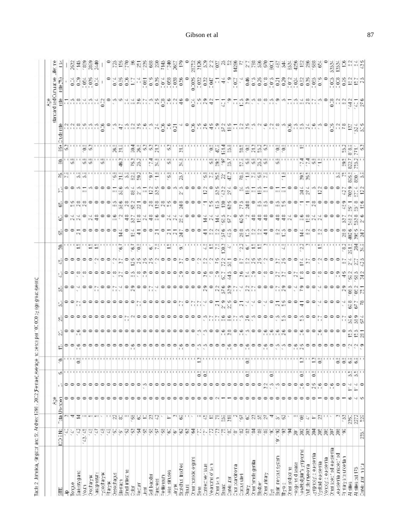|                                                     |                                                 |                         | å,              |                                                                                                                                                                                                                                                            |                                                                      |                         |                  |                |                                                         |                                                                  |                                                     |                                                                   |                                |                                                                                                                                                                                             |                                                                                                                                                                                                                                                                                                                                                                                                                                                                                                                                                                                                           |      |                                                                                                                 |                                                        |                                                                                                                                                                                                                                                                                                                                                                                                                                                                                                      |               |                                                                                                                                                                                                                                  |                                              | pas plectegs                                  | g,<br>ma                                                                                                                                                                                                                                                                                                                     |                                    |  |
|-----------------------------------------------------|-------------------------------------------------|-------------------------|-----------------|------------------------------------------------------------------------------------------------------------------------------------------------------------------------------------------------------------------------------------------------------------|----------------------------------------------------------------------|-------------------------|------------------|----------------|---------------------------------------------------------|------------------------------------------------------------------|-----------------------------------------------------|-------------------------------------------------------------------|--------------------------------|---------------------------------------------------------------------------------------------------------------------------------------------------------------------------------------------|-----------------------------------------------------------------------------------------------------------------------------------------------------------------------------------------------------------------------------------------------------------------------------------------------------------------------------------------------------------------------------------------------------------------------------------------------------------------------------------------------------------------------------------------------------------------------------------------------------------|------|-----------------------------------------------------------------------------------------------------------------|--------------------------------------------------------|------------------------------------------------------------------------------------------------------------------------------------------------------------------------------------------------------------------------------------------------------------------------------------------------------------------------------------------------------------------------------------------------------------------------------------------------------------------------------------------------------|---------------|----------------------------------------------------------------------------------------------------------------------------------------------------------------------------------------------------------------------------------|----------------------------------------------|-----------------------------------------------|------------------------------------------------------------------------------------------------------------------------------------------------------------------------------------------------------------------------------------------------------------------------------------------------------------------------------|------------------------------------|--|
| 븕                                                   | <b>MECO</b>                                     |                         | Teta Unknown    |                                                                                                                                                                                                                                                            |                                                                      | ¢,                      |                  |                |                                                         |                                                                  |                                                     |                                                                   |                                |                                                                                                                                                                                             |                                                                                                                                                                                                                                                                                                                                                                                                                                                                                                                                                                                                           |      |                                                                                                                 |                                                        |                                                                                                                                                                                                                                                                                                                                                                                                                                                                                                      |               |                                                                                                                                                                                                                                  | 읭                                            |                                               |                                                                                                                                                                                                                                                                                                                              |                                    |  |
| 윽                                                   | S,                                              |                         | ۰               | 리오오                                                                                                                                                                                                                                                        |                                                                      |                         |                  |                |                                                         |                                                                  |                                                     |                                                                   |                                |                                                                                                                                                                                             |                                                                                                                                                                                                                                                                                                                                                                                                                                                                                                                                                                                                           |      |                                                                                                                 |                                                        |                                                                                                                                                                                                                                                                                                                                                                                                                                                                                                      |               |                                                                                                                                                                                                                                  |                                              |                                               |                                                                                                                                                                                                                                                                                                                              |                                    |  |
| Torgue                                              | ă,                                              |                         | ۰               |                                                                                                                                                                                                                                                            |                                                                      |                         |                  |                |                                                         |                                                                  |                                                     |                                                                   |                                |                                                                                                                                                                                             |                                                                                                                                                                                                                                                                                                                                                                                                                                                                                                                                                                                                           |      |                                                                                                                 |                                                        |                                                                                                                                                                                                                                                                                                                                                                                                                                                                                                      |               |                                                                                                                                                                                                                                  |                                              |                                               |                                                                                                                                                                                                                                                                                                                              |                                    |  |
| Salvery gand                                        |                                                 |                         | ۰               |                                                                                                                                                                                                                                                            |                                                                      |                         |                  |                |                                                         |                                                                  |                                                     |                                                                   |                                |                                                                                                                                                                                             |                                                                                                                                                                                                                                                                                                                                                                                                                                                                                                                                                                                                           |      |                                                                                                                 |                                                        |                                                                                                                                                                                                                                                                                                                                                                                                                                                                                                      |               |                                                                                                                                                                                                                                  |                                              |                                               |                                                                                                                                                                                                                                                                                                                              |                                    |  |
| Docharym.<br>VOJ1                                   | $\frac{17}{17}$ $\frac{17}{17}$ $\frac{17}{17}$ | <u> 이 호 호</u> !!! 비 비 ~ | 이어              |                                                                                                                                                                                                                                                            |                                                                      | "" 응' ""                |                  |                |                                                         |                                                                  |                                                     |                                                                   | 이어어어어어어어어서 이 아이 아이 아이 아이       |                                                                                                                                                                                             |                                                                                                                                                                                                                                                                                                                                                                                                                                                                                                                                                                                                           |      | - 2020년 - 2020년 2월 20일 - 2월 20일 - 2월 20일 - 2월 20일 - 2월 20일 - 2월 20일 - 2월 20일 - 2월 20일 - 2월 20일 - 2월 20일 - 2월 20 |                                                        |                                                                                                                                                                                                                                                                                                                                                                                                                                                                                                      |               |                                                                                                                                                                                                                                  |                                              |                                               |                                                                                                                                                                                                                                                                                                                              |                                    |  |
| vascopertitiv                                       |                                                 |                         | Þ               |                                                                                                                                                                                                                                                            |                                                                      |                         |                  |                |                                                         |                                                                  |                                                     |                                                                   |                                |                                                                                                                                                                                             |                                                                                                                                                                                                                                                                                                                                                                                                                                                                                                                                                                                                           |      |                                                                                                                 |                                                        |                                                                                                                                                                                                                                                                                                                                                                                                                                                                                                      |               |                                                                                                                                                                                                                                  |                                              |                                               |                                                                                                                                                                                                                                                                                                                              |                                    |  |
|                                                     |                                                 |                         |                 |                                                                                                                                                                                                                                                            |                                                                      |                         |                  |                |                                                         |                                                                  |                                                     |                                                                   |                                |                                                                                                                                                                                             |                                                                                                                                                                                                                                                                                                                                                                                                                                                                                                                                                                                                           |      |                                                                                                                 |                                                        |                                                                                                                                                                                                                                                                                                                                                                                                                                                                                                      | $\omega$      |                                                                                                                                                                                                                                  |                                              |                                               |                                                                                                                                                                                                                                                                                                                              |                                    |  |
| nydodfarymi<br>Pharymi                              |                                                 |                         |                 |                                                                                                                                                                                                                                                            |                                                                      |                         |                  |                |                                                         |                                                                  |                                                     |                                                                   |                                |                                                                                                                                                                                             |                                                                                                                                                                                                                                                                                                                                                                                                                                                                                                                                                                                                           |      |                                                                                                                 |                                                        |                                                                                                                                                                                                                                                                                                                                                                                                                                                                                                      |               |                                                                                                                                                                                                                                  |                                              |                                               |                                                                                                                                                                                                                                                                                                                              |                                    |  |
| Oesochagus                                          |                                                 |                         | 이어어             |                                                                                                                                                                                                                                                            |                                                                      |                         |                  |                |                                                         |                                                                  |                                                     |                                                                   |                                |                                                                                                                                                                                             |                                                                                                                                                                                                                                                                                                                                                                                                                                                                                                                                                                                                           |      |                                                                                                                 |                                                        |                                                                                                                                                                                                                                                                                                                                                                                                                                                                                                      |               | - 18분                                                                                                                                                                                                                            |                                              |                                               |                                                                                                                                                                                                                                                                                                                              |                                    |  |
| 500021                                              |                                                 |                         |                 |                                                                                                                                                                                                                                                            |                                                                      |                         |                  |                |                                                         |                                                                  |                                                     |                                                                   |                                |                                                                                                                                                                                             |                                                                                                                                                                                                                                                                                                                                                                                                                                                                                                                                                                                                           |      |                                                                                                                 |                                                        |                                                                                                                                                                                                                                                                                                                                                                                                                                                                                                      | $\frac{1}{2}$ |                                                                                                                                                                                                                                  |                                              |                                               |                                                                                                                                                                                                                                                                                                                              |                                    |  |
| Email intestine                                     | a da A                                          | - 128 - 28 - 22         | 이어어             |                                                                                                                                                                                                                                                            |                                                                      |                         |                  |                |                                                         |                                                                  |                                                     |                                                                   |                                |                                                                                                                                                                                             |                                                                                                                                                                                                                                                                                                                                                                                                                                                                                                                                                                                                           |      |                                                                                                                 |                                                        | $\frac{1}{2} \left[ \frac{1}{2} \right] \approx \frac{1}{2} \left[ \frac{1}{2} \right] \approx \frac{1}{2} \left[ \frac{1}{2} \right] \approx \frac{1}{2} \approx \frac{1}{2} \approx \frac{1}{2} \approx \frac{1}{2} \approx \frac{1}{2} \approx \frac{1}{2} \approx \frac{1}{2} \approx \frac{1}{2} \approx \frac{1}{2} \approx \frac{1}{2} \approx \frac{1}{2} \approx \frac{1}{2} \approx \frac{1}{2} \approx \frac{1}{2} \approx \frac{1}{2} \approx \frac{1}{2} \approx \frac{1}{2} \approx \$ |               |                                                                                                                                                                                                                                  |                                              |                                               |                                                                                                                                                                                                                                                                                                                              |                                    |  |
| $rac{1}{3}$                                         | 23255                                           |                         |                 |                                                                                                                                                                                                                                                            |                                                                      |                         |                  |                |                                                         |                                                                  |                                                     |                                                                   |                                | $\begin{bmatrix} \overline{\omega} & 0 \\ \overline{\omega} & \overline{\omega} \end{bmatrix} \begin{bmatrix} \overline{\omega} & 0 \\ \overline{\omega} & \overline{\omega} \end{bmatrix}$ |                                                                                                                                                                                                                                                                                                                                                                                                                                                                                                                                                                                                           |      |                                                                                                                 |                                                        |                                                                                                                                                                                                                                                                                                                                                                                                                                                                                                      |               | $\frac{1}{2}$ $\frac{1}{2}$ $\frac{1}{2}$ $\frac{1}{2}$ $\frac{1}{2}$ $\frac{1}{2}$ $\frac{1}{2}$ $\frac{1}{2}$                                                                                                                  |                                              |                                               |                                                                                                                                                                                                                                                                                                                              |                                    |  |
|                                                     |                                                 |                         | $\circ$         |                                                                                                                                                                                                                                                            |                                                                      |                         |                  |                |                                                         |                                                                  |                                                     |                                                                   |                                |                                                                                                                                                                                             |                                                                                                                                                                                                                                                                                                                                                                                                                                                                                                                                                                                                           |      |                                                                                                                 |                                                        |                                                                                                                                                                                                                                                                                                                                                                                                                                                                                                      |               |                                                                                                                                                                                                                                  |                                              |                                               |                                                                                                                                                                                                                                                                                                                              |                                    |  |
| 흑                                                   |                                                 |                         | $\circ$         |                                                                                                                                                                                                                                                            |                                                                      |                         |                  |                |                                                         |                                                                  |                                                     |                                                                   |                                |                                                                                                                                                                                             |                                                                                                                                                                                                                                                                                                                                                                                                                                                                                                                                                                                                           |      |                                                                                                                 |                                                        |                                                                                                                                                                                                                                                                                                                                                                                                                                                                                                      |               |                                                                                                                                                                                                                                  |                                              |                                               | $rac{6}{6}$ $rac{6}{6}$                                                                                                                                                                                                                                                                                                      |                                    |  |
| Get blackler                                        |                                                 |                         | $\circ$ $\circ$ |                                                                                                                                                                                                                                                            |                                                                      |                         |                  |                |                                                         |                                                                  |                                                     |                                                                   |                                |                                                                                                                                                                                             |                                                                                                                                                                                                                                                                                                                                                                                                                                                                                                                                                                                                           |      |                                                                                                                 |                                                        |                                                                                                                                                                                                                                                                                                                                                                                                                                                                                                      |               |                                                                                                                                                                                                                                  |                                              |                                               |                                                                                                                                                                                                                                                                                                                              |                                    |  |
| psectes                                             |                                                 |                         |                 |                                                                                                                                                                                                                                                            |                                                                      |                         |                  |                |                                                         |                                                                  |                                                     |                                                                   |                                |                                                                                                                                                                                             |                                                                                                                                                                                                                                                                                                                                                                                                                                                                                                                                                                                                           |      |                                                                                                                 |                                                        |                                                                                                                                                                                                                                                                                                                                                                                                                                                                                                      |               |                                                                                                                                                                                                                                  |                                              |                                               |                                                                                                                                                                                                                                                                                                                              |                                    |  |
| matouez                                             |                                                 |                         | $\circ$         |                                                                                                                                                                                                                                                            |                                                                      |                         |                  |                |                                                         |                                                                  |                                                     |                                                                   |                                |                                                                                                                                                                                             |                                                                                                                                                                                                                                                                                                                                                                                                                                                                                                                                                                                                           |      |                                                                                                                 |                                                        |                                                                                                                                                                                                                                                                                                                                                                                                                                                                                                      |               |                                                                                                                                                                                                                                  |                                              |                                               |                                                                                                                                                                                                                                                                                                                              |                                    |  |
| kose sinuses                                        | 556                                             |                         | 000000000       |                                                                                                                                                                                                                                                            |                                                                      |                         |                  |                |                                                         |                                                                  |                                                     |                                                                   |                                |                                                                                                                                                                                             |                                                                                                                                                                                                                                                                                                                                                                                                                                                                                                                                                                                                           |      |                                                                                                                 | $ A  \approx  A  \approx  A  \approx  A $              | $\left  \omega \right $                                                                                                                                                                                                                                                                                                                                                                                                                                                                              |               |                                                                                                                                                                                                                                  |                                              |                                               | 18880                                                                                                                                                                                                                                                                                                                        |                                    |  |
| $-8^{\circ}$ %                                      |                                                 |                         |                 |                                                                                                                                                                                                                                                            |                                                                      |                         |                  |                |                                                         |                                                                  |                                                     |                                                                   |                                |                                                                                                                                                                                             |                                                                                                                                                                                                                                                                                                                                                                                                                                                                                                                                                                                                           |      |                                                                                                                 |                                                        |                                                                                                                                                                                                                                                                                                                                                                                                                                                                                                      |               |                                                                                                                                                                                                                                  |                                              |                                               |                                                                                                                                                                                                                                                                                                                              |                                    |  |
| Branchie bechee                                     |                                                 |                         |                 |                                                                                                                                                                                                                                                            |                                                                      |                         |                  |                |                                                         |                                                                  |                                                     |                                                                   |                                |                                                                                                                                                                                             |                                                                                                                                                                                                                                                                                                                                                                                                                                                                                                                                                                                                           |      |                                                                                                                 |                                                        |                                                                                                                                                                                                                                                                                                                                                                                                                                                                                                      |               |                                                                                                                                                                                                                                  |                                              |                                               |                                                                                                                                                                                                                                                                                                                              |                                    |  |
| <b>Partia</b>                                       | 222                                             | 전쟁 보기                   |                 |                                                                                                                                                                                                                                                            |                                                                      |                         |                  | 00000000000000 |                                                         |                                                                  |                                                     |                                                                   |                                |                                                                                                                                                                                             |                                                                                                                                                                                                                                                                                                                                                                                                                                                                                                                                                                                                           |      |                                                                                                                 |                                                        |                                                                                                                                                                                                                                                                                                                                                                                                                                                                                                      |               |                                                                                                                                                                                                                                  |                                              |                                               |                                                                                                                                                                                                                                                                                                                              |                                    |  |
| Chartnareddogens                                    |                                                 |                         |                 |                                                                                                                                                                                                                                                            |                                                                      |                         |                  |                |                                                         |                                                                  |                                                     |                                                                   |                                |                                                                                                                                                                                             |                                                                                                                                                                                                                                                                                                                                                                                                                                                                                                                                                                                                           |      |                                                                                                                 |                                                        |                                                                                                                                                                                                                                                                                                                                                                                                                                                                                                      |               |                                                                                                                                                                                                                                  |                                              |                                               |                                                                                                                                                                                                                                                                                                                              |                                    |  |
| $\frac{9}{20}$                                      |                                                 |                         |                 |                                                                                                                                                                                                                                                            |                                                                      |                         |                  |                |                                                         |                                                                  |                                                     |                                                                   |                                |                                                                                                                                                                                             |                                                                                                                                                                                                                                                                                                                                                                                                                                                                                                                                                                                                           |      |                                                                                                                 |                                                        |                                                                                                                                                                                                                                                                                                                                                                                                                                                                                                      |               |                                                                                                                                                                                                                                  |                                              |                                               |                                                                                                                                                                                                                                                                                                                              |                                    |  |
| Correotwellasue                                     |                                                 |                         |                 |                                                                                                                                                                                                                                                            |                                                                      |                         |                  |                |                                                         |                                                                  |                                                     |                                                                   |                                |                                                                                                                                                                                             |                                                                                                                                                                                                                                                                                                                                                                                                                                                                                                                                                                                                           |      |                                                                                                                 |                                                        |                                                                                                                                                                                                                                                                                                                                                                                                                                                                                                      |               |                                                                                                                                                                                                                                  |                                              |                                               |                                                                                                                                                                                                                                                                                                                              |                                    |  |
| Vearche of skin                                     |                                                 |                         |                 |                                                                                                                                                                                                                                                            |                                                                      |                         |                  |                |                                                         |                                                                  |                                                     |                                                                   |                                |                                                                                                                                                                                             |                                                                                                                                                                                                                                                                                                                                                                                                                                                                                                                                                                                                           |      |                                                                                                                 |                                                        |                                                                                                                                                                                                                                                                                                                                                                                                                                                                                                      |               |                                                                                                                                                                                                                                  |                                              |                                               |                                                                                                                                                                                                                                                                                                                              |                                    |  |
| Other Bk 1                                          |                                                 |                         |                 |                                                                                                                                                                                                                                                            |                                                                      | ' ' 필요' ' ' ' ' ' ' ' ' |                  |                |                                                         |                                                                  |                                                     |                                                                   |                                |                                                                                                                                                                                             |                                                                                                                                                                                                                                                                                                                                                                                                                                                                                                                                                                                                           |      |                                                                                                                 |                                                        |                                                                                                                                                                                                                                                                                                                                                                                                                                                                                                      |               |                                                                                                                                                                                                                                  |                                              |                                               |                                                                                                                                                                                                                                                                                                                              |                                    |  |
| Eteas:                                              |                                                 |                         |                 |                                                                                                                                                                                                                                                            |                                                                      |                         |                  |                |                                                         |                                                                  |                                                     |                                                                   |                                |                                                                                                                                                                                             |                                                                                                                                                                                                                                                                                                                                                                                                                                                                                                                                                                                                           |      |                                                                                                                 |                                                        |                                                                                                                                                                                                                                                                                                                                                                                                                                                                                                      |               |                                                                                                                                                                                                                                  |                                              |                                               |                                                                                                                                                                                                                                                                                                                              |                                    |  |
| Cervix ster                                         |                                                 |                         |                 |                                                                                                                                                                                                                                                            |                                                                      |                         |                  |                |                                                         |                                                                  |                                                     |                                                                   |                                |                                                                                                                                                                                             |                                                                                                                                                                                                                                                                                                                                                                                                                                                                                                                                                                                                           |      |                                                                                                                 |                                                        |                                                                                                                                                                                                                                                                                                                                                                                                                                                                                                      |               |                                                                                                                                                                                                                                  |                                              |                                               |                                                                                                                                                                                                                                                                                                                              |                                    |  |
| Charlongena terio                                   |                                                 |                         |                 |                                                                                                                                                                                                                                                            |                                                                      |                         |                  |                |                                                         |                                                                  |                                                     |                                                                   |                                |                                                                                                                                                                                             |                                                                                                                                                                                                                                                                                                                                                                                                                                                                                                                                                                                                           |      |                                                                                                                 |                                                        |                                                                                                                                                                                                                                                                                                                                                                                                                                                                                                      |               |                                                                                                                                                                                                                                  |                                              |                                               |                                                                                                                                                                                                                                                                                                                              |                                    |  |
| Consider                                            |                                                 |                         |                 |                                                                                                                                                                                                                                                            |                                                                      |                         |                  |                |                                                         |                                                                  |                                                     |                                                                   |                                |                                                                                                                                                                                             |                                                                                                                                                                                                                                                                                                                                                                                                                                                                                                                                                                                                           |      |                                                                                                                 |                                                        |                                                                                                                                                                                                                                                                                                                                                                                                                                                                                                      |               |                                                                                                                                                                                                                                  |                                              |                                               |                                                                                                                                                                                                                                                                                                                              |                                    |  |
| Cher <sup>k</sup> emale genta<br>Ovary.             | bbhhanna an an an Alba                          |                         | .               |                                                                                                                                                                                                                                                            |                                                                      | 자리방 아이 아이 아이            |                  |                | A REPORT OF REAL PROPERTY.                              |                                                                  |                                                     |                                                                   | '팀' 이익인 이 일본 이 일본 이 대 일본 일본 일본 |                                                                                                                                                                                             |                                                                                                                                                                                                                                                                                                                                                                                                                                                                                                                                                                                                           |      |                                                                                                                 | . 이 이 이 이 이 이 이 있어요 이 레 따 때 때 이 이 다 피 이 이 게 지 않아 이 여 이 |                                                                                                                                                                                                                                                                                                                                                                                                                                                                                                      |               |                                                                                                                                                                                                                                  | 이전은 일권음으로 '  이염인원위'이임원자이원원"                  | 제임법 이외용의 이용 이상 인정적 기능의 다음의 인원은 인간의 이 교육과 의료 인 | <b>Basa</b> Bara Salan Basa da Basa Basa Ba                                                                                                                                                                                                                                                                                  | 밝음씨시한'가까요'  '시티끼'하낢'  기회장원 비장(행화 - |  |
| Eledoer                                             |                                                 |                         |                 |                                                                                                                                                                                                                                                            |                                                                      |                         |                  |                |                                                         |                                                                  |                                                     |                                                                   |                                |                                                                                                                                                                                             |                                                                                                                                                                                                                                                                                                                                                                                                                                                                                                                                                                                                           |      |                                                                                                                 |                                                        |                                                                                                                                                                                                                                                                                                                                                                                                                                                                                                      |               |                                                                                                                                                                                                                                  |                                              |                                               |                                                                                                                                                                                                                                                                                                                              |                                    |  |
| Crier utray                                         |                                                 |                         |                 |                                                                                                                                                                                                                                                            |                                                                      |                         |                  |                |                                                         |                                                                  |                                                     |                                                                   |                                |                                                                                                                                                                                             |                                                                                                                                                                                                                                                                                                                                                                                                                                                                                                                                                                                                           |      |                                                                                                                 |                                                        |                                                                                                                                                                                                                                                                                                                                                                                                                                                                                                      |               |                                                                                                                                                                                                                                  |                                              |                                               |                                                                                                                                                                                                                                                                                                                              |                                    |  |
| Eyê<br>Brain nembe ayatem                           |                                                 |                         |                 |                                                                                                                                                                                                                                                            |                                                                      |                         |                  |                |                                                         |                                                                  |                                                     |                                                                   |                                |                                                                                                                                                                                             |                                                                                                                                                                                                                                                                                                                                                                                                                                                                                                                                                                                                           |      |                                                                                                                 |                                                        |                                                                                                                                                                                                                                                                                                                                                                                                                                                                                                      |               |                                                                                                                                                                                                                                  |                                              |                                               |                                                                                                                                                                                                                                                                                                                              |                                    |  |
|                                                     | é.                                              | 4.2.2                   |                 |                                                                                                                                                                                                                                                            |                                                                      |                         |                  |                |                                                         |                                                                  |                                                     |                                                                   |                                |                                                                                                                                                                                             |                                                                                                                                                                                                                                                                                                                                                                                                                                                                                                                                                                                                           |      |                                                                                                                 |                                                        |                                                                                                                                                                                                                                                                                                                                                                                                                                                                                                      |               |                                                                                                                                                                                                                                  |                                              |                                               |                                                                                                                                                                                                                                                                                                                              |                                    |  |
| Tyo:                                                |                                                 |                         |                 |                                                                                                                                                                                                                                                            |                                                                      |                         |                  |                |                                                         |                                                                  |                                                     |                                                                   |                                |                                                                                                                                                                                             |                                                                                                                                                                                                                                                                                                                                                                                                                                                                                                                                                                                                           |      |                                                                                                                 |                                                        |                                                                                                                                                                                                                                                                                                                                                                                                                                                                                                      |               |                                                                                                                                                                                                                                  |                                              |                                               |                                                                                                                                                                                                                                                                                                                              |                                    |  |
| Other endporting                                    | $\mathbb R$                                     |                         |                 |                                                                                                                                                                                                                                                            |                                                                      |                         |                  |                |                                                         |                                                                  |                                                     |                                                                   |                                |                                                                                                                                                                                             |                                                                                                                                                                                                                                                                                                                                                                                                                                                                                                                                                                                                           |      |                                                                                                                 |                                                        |                                                                                                                                                                                                                                                                                                                                                                                                                                                                                                      |               |                                                                                                                                                                                                                                  |                                              |                                               |                                                                                                                                                                                                                                                                                                                              |                                    |  |
| -obgx his disease                                   | Ř                                               | " 흔                     |                 |                                                                                                                                                                                                                                                            |                                                                      |                         |                  |                |                                                         |                                                                  |                                                     |                                                                   |                                |                                                                                                                                                                                             |                                                                                                                                                                                                                                                                                                                                                                                                                                                                                                                                                                                                           |      |                                                                                                                 |                                                        |                                                                                                                                                                                                                                                                                                                                                                                                                                                                                                      |               |                                                                                                                                                                                                                                  |                                              |                                               |                                                                                                                                                                                                                                                                                                                              |                                    |  |
| sonHedglar's ympreme                                | 88                                              |                         |                 |                                                                                                                                                                                                                                                            |                                                                      |                         |                  |                |                                                         |                                                                  |                                                     |                                                                   |                                |                                                                                                                                                                                             |                                                                                                                                                                                                                                                                                                                                                                                                                                                                                                                                                                                                           |      |                                                                                                                 |                                                        |                                                                                                                                                                                                                                                                                                                                                                                                                                                                                                      |               |                                                                                                                                                                                                                                  |                                              |                                               |                                                                                                                                                                                                                                                                                                                              |                                    |  |
| Vutible meloria                                     | Ă                                               | $\leftharpoonup$<br>Ň,  | 000000000       |                                                                                                                                                                                                                                                            |                                                                      |                         |                  |                | $\sqrt{2}$ and $\sqrt{2}$ and $\sqrt{2}$ and $\sqrt{2}$ |                                                                  |                                                     |                                                                   |                                |                                                                                                                                                                                             |                                                                                                                                                                                                                                                                                                                                                                                                                                                                                                                                                                                                           |      |                                                                                                                 | 시 시 이 이 이                                              |                                                                                                                                                                                                                                                                                                                                                                                                                                                                                                      |               | la alguna de la componentación de la componentación de la componentación de la componentación de la componenta<br>La componentación de la componentación de la componentación de la componentación de la componentación de la co |                                              |                                               |                                                                                                                                                                                                                                                                                                                              |                                    |  |
| -ymprey.clearem                                     |                                                 |                         |                 |                                                                                                                                                                                                                                                            |                                                                      |                         |                  |                |                                                         |                                                                  |                                                     |                                                                   |                                |                                                                                                                                                                                             |                                                                                                                                                                                                                                                                                                                                                                                                                                                                                                                                                                                                           |      |                                                                                                                 |                                                        |                                                                                                                                                                                                                                                                                                                                                                                                                                                                                                      |               |                                                                                                                                                                                                                                  |                                              |                                               |                                                                                                                                                                                                                                                                                                                              |                                    |  |
| V <sub>y</sub> ebid euksemia<br>Voncy: beuksmia     |                                                 |                         | ۰               |                                                                                                                                                                                                                                                            |                                                                      |                         |                  |                |                                                         |                                                                  |                                                     |                                                                   |                                |                                                                                                                                                                                             |                                                                                                                                                                                                                                                                                                                                                                                                                                                                                                                                                                                                           |      |                                                                                                                 |                                                        |                                                                                                                                                                                                                                                                                                                                                                                                                                                                                                      |               |                                                                                                                                                                                                                                  |                                              |                                               |                                                                                                                                                                                                                                                                                                                              |                                    |  |
| Other specified euksemia                            | 888                                             | 장부부                     | Þ               |                                                                                                                                                                                                                                                            |                                                                      |                         |                  |                |                                                         |                                                                  |                                                     |                                                                   |                                |                                                                                                                                                                                             |                                                                                                                                                                                                                                                                                                                                                                                                                                                                                                                                                                                                           |      |                                                                                                                 |                                                        |                                                                                                                                                                                                                                                                                                                                                                                                                                                                                                      |               |                                                                                                                                                                                                                                  |                                              |                                               |                                                                                                                                                                                                                                                                                                                              |                                    |  |
|                                                     |                                                 |                         | ۰               | $R_{11}$ $R_{22}$ $R_{33}$ $R_{34}$ $R_{35}$ $R_{36}$ $R_{37}$ $R_{38}$ $R_{39}$ $R_{30}$ $R_{30}$ $R_{30}$ $R_{30}$ $R_{30}$ $R_{30}$ $R_{30}$ $R_{30}$ $R_{30}$ $R_{30}$ $R_{30}$ $R_{30}$ $R_{30}$ $R_{30}$ $R_{30}$ $R_{30}$ $R_{30}$ $R_{30}$ $R_{30$ |                                                                      |                         |                  |                |                                                         |                                                                  |                                                     |                                                                   |                                |                                                                                                                                                                                             |                                                                                                                                                                                                                                                                                                                                                                                                                                                                                                                                                                                                           |      |                                                                                                                 |                                                        |                                                                                                                                                                                                                                                                                                                                                                                                                                                                                                      |               |                                                                                                                                                                                                                                  | $\frac{18}{2}$ $\frac{18}{2}$ $\frac{18}{2}$ |                                               | $\begin{bmatrix} 1 & 0 & 0 & 0 \\ 0 & 0 & 0 & 0 \\ 0 & 0 & 0 & 0 \\ 0 & 0 & 0 & 0 \\ 0 & 0 & 0 & 0 \\ 0 & 0 & 0 & 0 \\ 0 & 0 & 0 & 0 \\ 0 & 0 & 0 & 0 & 0 \\ 0 & 0 & 0 & 0 & 0 \\ 0 & 0 & 0 & 0 & 0 \\ 0 & 0 & 0 & 0 & 0 \\ 0 & 0 & 0 & 0 & 0 & 0 \\ 0 & 0 & 0 & 0 & 0 & 0 \\ 0 & 0 & 0 & 0 & 0 & 0 \\ 0 & 0 & 0 & 0 & 0 & $ | 333<br>123                         |  |
| u epebunatak dalam berlama.<br>Demografia terbenten | g w                                             |                         |                 |                                                                                                                                                                                                                                                            |                                                                      |                         |                  |                |                                                         |                                                                  |                                                     |                                                                   |                                |                                                                                                                                                                                             |                                                                                                                                                                                                                                                                                                                                                                                                                                                                                                                                                                                                           |      |                                                                                                                 |                                                        |                                                                                                                                                                                                                                                                                                                                                                                                                                                                                                      |               |                                                                                                                                                                                                                                  |                                              |                                               |                                                                                                                                                                                                                                                                                                                              |                                    |  |
| Al sites                                            |                                                 |                         | $\omega$        | ÷,                                                                                                                                                                                                                                                         |                                                                      |                         |                  |                |                                                         |                                                                  |                                                     |                                                                   |                                |                                                                                                                                                                                             |                                                                                                                                                                                                                                                                                                                                                                                                                                                                                                                                                                                                           |      |                                                                                                                 |                                                        |                                                                                                                                                                                                                                                                                                                                                                                                                                                                                                      |               |                                                                                                                                                                                                                                  |                                              |                                               |                                                                                                                                                                                                                                                                                                                              |                                    |  |
| All sites out 175                                   |                                                 | <b>TREE</b>             |                 | $\sim$ $\sim$ $\sim$<br>$\leftharpoonup$                                                                                                                                                                                                                   | 이 아이가 아이의 아이가 아이의 아이의 아이의 아이의 이상장이 아이의 아이의 양이 아이의 양이 아이의 아이의 아이의 성장이 | 1월 11월 양 111명 명명 명명 1   | 0000000000000000 | 발발병            | 11 PM 3 3 6                                             | 의의법의의의의의의의의의법의의의의의의법의법법신의점제법의점신신의원법의의의국의의신의의의원법 <mark>법</mark> 정 | 이익권이이# 이익#관의유의이#관의이이이이이이유의유용용#관의유표의이이##유의관원의이이유용용용품 | 라이어있어이어이어있다 아파일의 아이어이어 아이어 있었어요! #아파일이 아이더 #아마일이 아이어 아마 # # # # # | 画をあげ                           | armalar (2011년 11113월 23)                                                                                                                                                                   | $\begin{array}{c} \begin{array}{c} \circ \\ \circ \\ \circ \end{array} & \begin{array}{c} \circ \\ \circ \\ \circ \end{array} & \begin{array}{c} \circ \\ \circ \\ \circ \end{array} & \begin{array}{c} \circ \\ \circ \\ \circ \end{array} & \begin{array}{c} \circ \\ \circ \\ \circ \end{array} & \begin{array}{c} \circ \\ \circ \\ \circ \end{array} & \begin{array}{c} \circ \\ \circ \\ \circ \end{array} & \begin{array}{c} \circ \\ \circ \\ \circ \end{array} & \begin{array}{c} \circ \\ \circ \\ \circ \end{array} & \begin{array}{c} \circ \\ \circ \\ \circ \end{array} & \begin{$<br>제품품 및 | 3월3일 |                                                                                                                 |                                                        | 19 중 ~                                                                                                                                                                                                                                                                                                                                                                                                                                                                                               |               |                                                                                                                                                                                                                                  |                                              | 음료하좌석설                                        |                                                                                                                                                                                                                                                                                                                              |                                    |  |
| Cervis Jen 1971                                     | $235.^\circ$                                    |                         | $\sim$ 10       |                                                                                                                                                                                                                                                            |                                                                      |                         |                  |                |                                                         |                                                                  |                                                     |                                                                   |                                |                                                                                                                                                                                             |                                                                                                                                                                                                                                                                                                                                                                                                                                                                                                                                                                                                           |      |                                                                                                                 |                                                        |                                                                                                                                                                                                                                                                                                                                                                                                                                                                                                      |               |                                                                                                                                                                                                                                  |                                              |                                               |                                                                                                                                                                                                                                                                                                                              |                                    |  |
|                                                     |                                                 |                         |                 |                                                                                                                                                                                                                                                            |                                                                      |                         |                  |                |                                                         |                                                                  |                                                     |                                                                   |                                |                                                                                                                                                                                             |                                                                                                                                                                                                                                                                                                                                                                                                                                                                                                                                                                                                           |      |                                                                                                                 |                                                        |                                                                                                                                                                                                                                                                                                                                                                                                                                                                                                      |               |                                                                                                                                                                                                                                  |                                              |                                               |                                                                                                                                                                                                                                                                                                                              |                                    |  |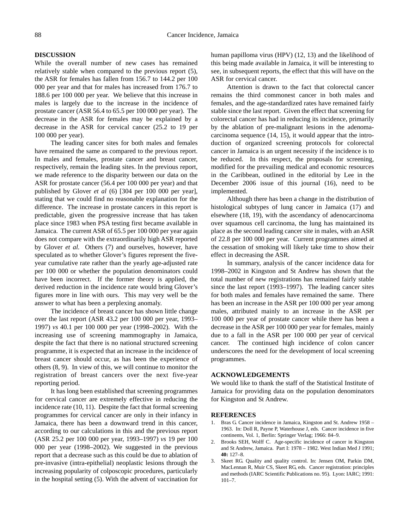## **DISCUSSION**

While the overall number of new cases has remained relatively stable when compared to the previous report (5), the ASR for females has fallen from 156.7 to 144.2 per 100 000 per year and that for males has increased from 176.7 to 188.6 per 100 000 per year. We believe that this increase in males is largely due to the increase in the incidence of prostate cancer (ASR 56.4 to 65.5 per 100 000 per year). The decrease in the ASR for females may be explained by a decrease in the ASR for cervical cancer (25.2 to 19 per 100 000 per year).

The leading cancer sites for both males and females have remained the same as compared to the previous report. In males and females, prostate cancer and breast cancer, respectively, remain the leading sites. In the previous report, we made reference to the disparity between our data on the ASR for prostate cancer (56.4 per 100 000 per year) and that published by Glover *et al* (6) [304 per 100 000 per year], stating that we could find no reasonable explanation for the difference. The increase in prostate cancers in this report is predictable, given the progressive increase that has taken place since 1983 when PSA testing first became available in Jamaica. The current ASR of 65.5 per 100 000 per year again does not compare with the extraordinarily high ASR reported by Glover *et al.* Others (7) and ourselves, however, have speculated as to whether Glover's figures represent the fiveyear cumulative rate rather than the yearly age-adjusted rate per 100 000 or whether the population denominators could have been incorrect. If the former theory is applied, the derived reduction in the incidence rate would bring Glover's figures more in line with ours. This may very well be the answer to what has been a perplexing anomaly.

The incidence of breast cancer has shown little change over the last report (ASR 43.2 per 100 000 per year, 1993– 1997) *vs* 40.1 per 100 000 per year (1998–2002). With the increasing use of screening mammography in Jamaica, despite the fact that there is no national structured screening programme, it is expected that an increase in the incidence of breast cancer should occur, as has been the experience of others (8, 9). In view of this, we will continue to monitor the registration of breast cancers over the next five-year reporting period.

It has long been established that screening programmes for cervical cancer are extremely effective in reducing the incidence rate (10, 11). Despite the fact that formal screening programmes for cervical cancer are only in their infancy in Jamaica, there has been a downward trend in this cancer, according to our calculations in this and the previous report (ASR 25.2 per 100 000 per year, 1993–1997) *vs* 19 per 100 000 per year (1998–2002). We suggested in the previous report that a decrease such as this could be due to ablation of pre-invasive (intra-epithelial) neoplastic lesions through the increasing popularity of colposcopic procedures, particularly in the hospital setting (5). With the advent of vaccination for human papilloma virus (HPV) (12, 13) and the likelihood of this being made available in Jamaica, it will be interesting to see, in subsequent reports, the effect that this will have on the ASR for cervical cancer.

Attention is drawn to the fact that colorectal cancer remains the third commonest cancer in both males and females, and the age-standardized rates have remained fairly stable since the last report. Given the effect that screening for colorectal cancer has had in reducing its incidence, primarily by the ablation of pre-malignant lesions in the adenomacarcinoma sequence (14, 15), it would appear that the introduction of organized screening protocols for colorectal cancer in Jamaica is an urgent necessity if the incidence is to be reduced. In this respect, the proposals for screening, modified for the prevailing medical and economic resources in the Caribbean, outlined in the editorial by Lee in the December 2006 issue of this journal (16), need to be implemented.

Although there has been a change in the distribution of histological subtypes of lung cancer in Jamaica (17) and elsewhere (18, 19), with the ascendancy of adenocarcinoma over squamous cell carcinoma, the lung has maintained its place as the second leading cancer site in males, with an ASR of 22.8 per 100 000 per year. Current programmes aimed at the cessation of smoking will likely take time to show their effect in decreasing the ASR.

In summary, analysis of the cancer incidence data for 1998–2002 in Kingston and St Andrew has shown that the total number of new registrations has remained fairly stable since the last report (1993–1997). The leading cancer sites for both males and females have remained the same. There has been an increase in the ASR per 100 000 per year among males, attributed mainly to an increase in the ASR per 100 000 per year of prostate cancer while there has been a decrease in the ASR per 100 000 per year for females, mainly due to a fall in the ASR per 100 000 per year of cervical cancer. The continued high incidence of colon cancer underscores the need for the development of local screening programmes.

## **ACKNOWLEDGEMENTS**

We would like to thank the staff of the Statistical Institute of Jamaica for providing data on the population denominators for Kingston and St Andrew.

#### **REFERENCES**

- 1. Bras G. Cancer incidence in Jamaica, Kingston and St. Andrew 1958 1963. In: Doll R, Payne P, Waterhouse J, eds. Cancer incidence in five continents, Vol. 1, Berlin: Springer Verlag; 1966: 84–9.
- 2. Brooks SEH, Wolff C. Age-specific incidence of cancer in Kingston and St Andrew, Jamaica. Part I: 1978 – 1982. West Indian Med J 1991; **40:** 127–8.
- 3. Skeet RG. Quality and quality control. In: Jensen OM, Parkin DM, MacLennan R, Muir CS, Skeet RG, eds. Cancer registration: principles and methods (IARC Scientific Publications no. 95). Lyon: IARC; 1991: 101–7.